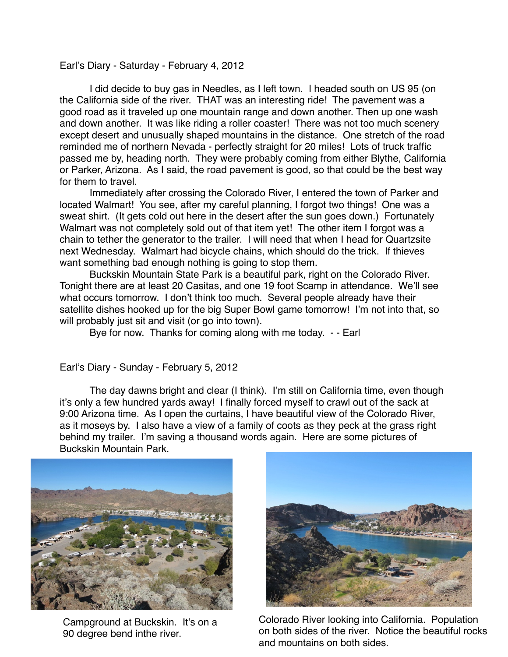## Earl's Diary - Saturday - February 4, 2012

I did decide to buy gas in Needles, as I left town. I headed south on US 95 (on the California side of the river. THAT was an interesting ride! The pavement was a good road as it traveled up one mountain range and down another. Then up one wash and down another. It was like riding a roller coaster! There was not too much scenery except desert and unusually shaped mountains in the distance. One stretch of the road reminded me of northern Nevada - perfectly straight for 20 miles! Lots of truck traffic passed me by, heading north. They were probably coming from either Blythe, California or Parker, Arizona. As I said, the road pavement is good, so that could be the best way for them to travel.

Immediately after crossing the Colorado River, I entered the town of Parker and located Walmart! You see, after my careful planning, I forgot two things! One was a sweat shirt. (It gets cold out here in the desert after the sun goes down.) Fortunately Walmart was not completely sold out of that item yet! The other item I forgot was a chain to tether the generator to the trailer. I will need that when I head for Quartzsite next Wednesday. Walmart had bicycle chains, which should do the trick. If thieves want something bad enough nothing is going to stop them.

Buckskin Mountain State Park is a beautiful park, right on the Colorado River. Tonight there are at least 20 Casitas, and one 19 foot Scamp in attendance. We'll see what occurs tomorrow. I don't think too much. Several people already have their satellite dishes hooked up for the big Super Bowl game tomorrow! I'm not into that, so will probably just sit and visit (or go into town).

Bye for now. Thanks for coming along with me today. - - Earl

Earl's Diary - Sunday - February 5, 2012

The day dawns bright and clear (I think). I'm still on California time, even though it's only a few hundred yards away! I finally forced myself to crawl out of the sack at 9:00 Arizona time. As I open the curtains, I have beautiful view of the Colorado River, as it moseys by. I also have a view of a family of coots as they peck at the grass right behind my trailer. I'm saving a thousand words again. Here are some pictures of Buckskin Mountain Park.



Campground at Buckskin. It's on a 90 degree bend inthe river.



Colorado River looking into California. Population on both sides of the river. Notice the beautiful rocks and mountains on both sides.